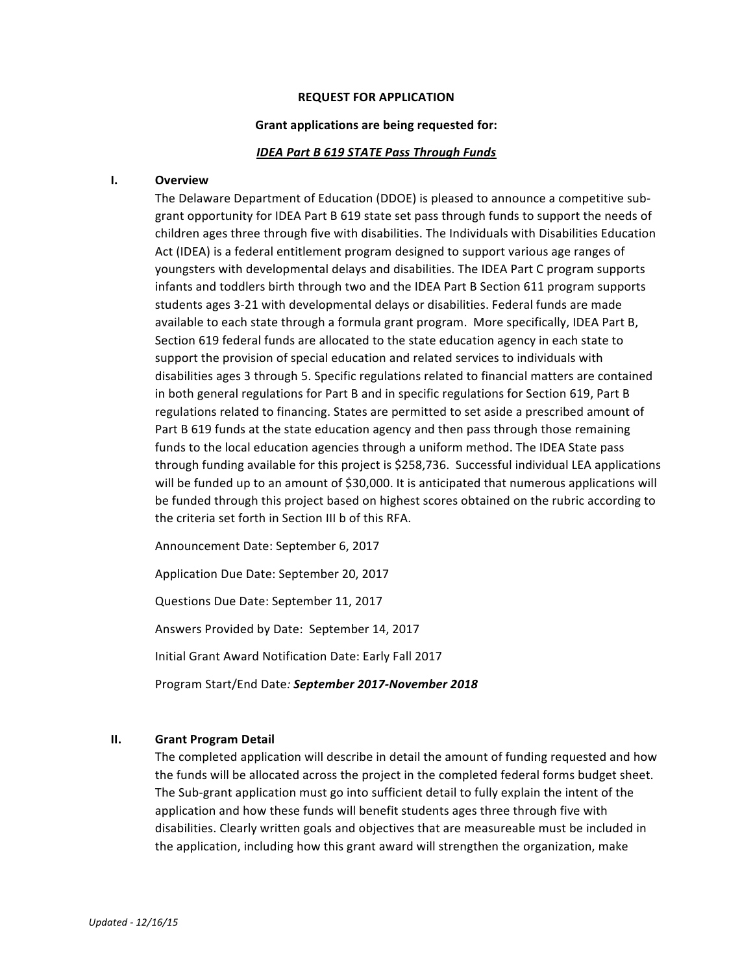### **REQUEST FOR APPLICATION**

### Grant applications are being requested for:

### **IDEA Part B 619 STATE Pass Through Funds**

### **I. Overview**

The Delaware Department of Education (DDOE) is pleased to announce a competitive subgrant opportunity for IDEA Part B 619 state set pass through funds to support the needs of children ages three through five with disabilities. The Individuals with Disabilities Education Act (IDEA) is a federal entitlement program designed to support various age ranges of youngsters with developmental delays and disabilities. The IDEA Part C program supports infants and toddlers birth through two and the IDEA Part B Section 611 program supports students ages 3-21 with developmental delays or disabilities. Federal funds are made available to each state through a formula grant program. More specifically, IDEA Part B, Section 619 federal funds are allocated to the state education agency in each state to support the provision of special education and related services to individuals with disabilities ages 3 through 5. Specific regulations related to financial matters are contained in both general regulations for Part B and in specific regulations for Section 619, Part B regulations related to financing. States are permitted to set aside a prescribed amount of Part B 619 funds at the state education agency and then pass through those remaining funds to the local education agencies through a uniform method. The IDEA State pass through funding available for this project is \$258,736. Successful individual LEA applications will be funded up to an amount of \$30,000. It is anticipated that numerous applications will be funded through this project based on highest scores obtained on the rubric according to the criteria set forth in Section III b of this RFA.

Announcement Date: September 6, 2017

Application Due Date: September 20, 2017

Questions Due Date: September 11, 2017

Answers Provided by Date: September 14, 2017

Initial Grant Award Notification Date: Early Fall 2017

Program Start/End Date*: September 2017-November 2018*

### **II. Grant Program Detail**

The completed application will describe in detail the amount of funding requested and how the funds will be allocated across the project in the completed federal forms budget sheet. The Sub-grant application must go into sufficient detail to fully explain the intent of the application and how these funds will benefit students ages three through five with disabilities. Clearly written goals and objectives that are measureable must be included in the application, including how this grant award will strengthen the organization, make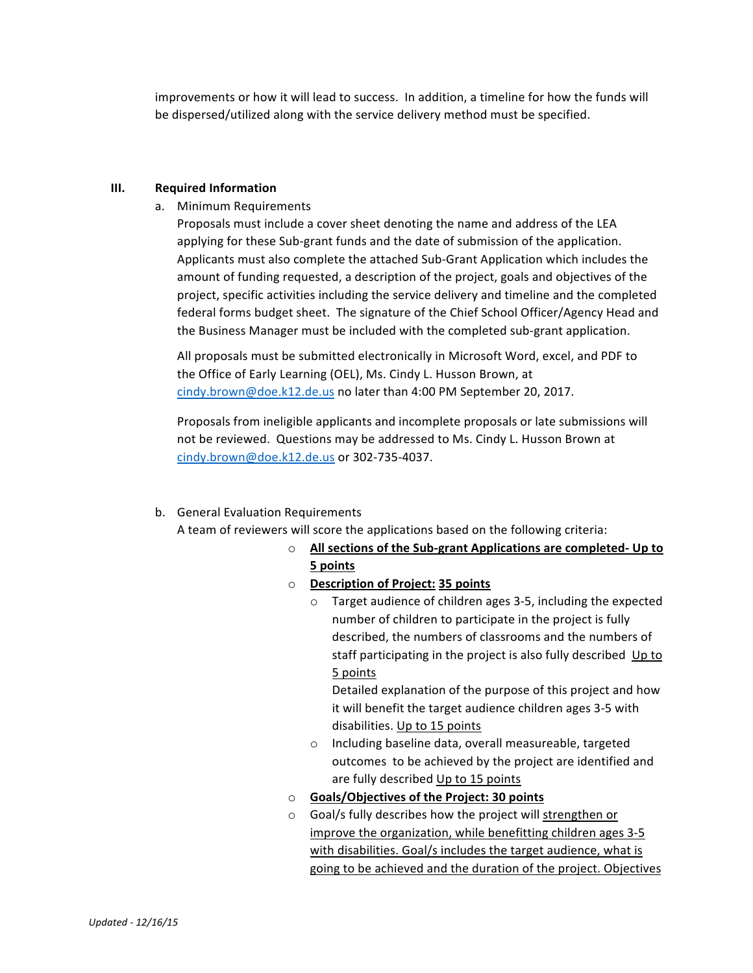improvements or how it will lead to success. In addition, a timeline for how the funds will be dispersed/utilized along with the service delivery method must be specified.

## **III.** Required Information

a. Minimum Requirements

Proposals must include a cover sheet denoting the name and address of the LEA applying for these Sub-grant funds and the date of submission of the application. Applicants must also complete the attached Sub-Grant Application which includes the amount of funding requested, a description of the project, goals and objectives of the project, specific activities including the service delivery and timeline and the completed federal forms budget sheet. The signature of the Chief School Officer/Agency Head and the Business Manager must be included with the completed sub-grant application.

All proposals must be submitted electronically in Microsoft Word, excel, and PDF to the Office of Early Learning (OEL), Ms. Cindy L. Husson Brown, at cindy.brown@doe.k12.de.us no later than 4:00 PM September 20, 2017.

Proposals from ineligible applicants and incomplete proposals or late submissions will not be reviewed. Questions may be addressed to Ms. Cindy L. Husson Brown at cindy.brown@doe.k12.de.us or 302-735-4037.

# b. General Evaluation Requirements

A team of reviewers will score the applications based on the following criteria:

o **All sections of the Sub-grant Applications are completed- Up to 5 points**

# o **Description of Project: 35 points**

 $\circ$  Target audience of children ages 3-5, including the expected number of children to participate in the project is fully described, the numbers of classrooms and the numbers of staff participating in the project is also fully described Up to 5 points

Detailed explanation of the purpose of this project and how it will benefit the target audience children ages 3-5 with disabilities. Up to 15 points

- o Including baseline data, overall measureable, targeted outcomes to be achieved by the project are identified and are fully described Up to 15 points
- $\circ$  **Goals/Objectives of the Project: 30 points**
- $\circ$  Goal/s fully describes how the project will strengthen or improve the organization, while benefitting children ages 3-5 with disabilities. Goal/s includes the target audience, what is going to be achieved and the duration of the project. Objectives